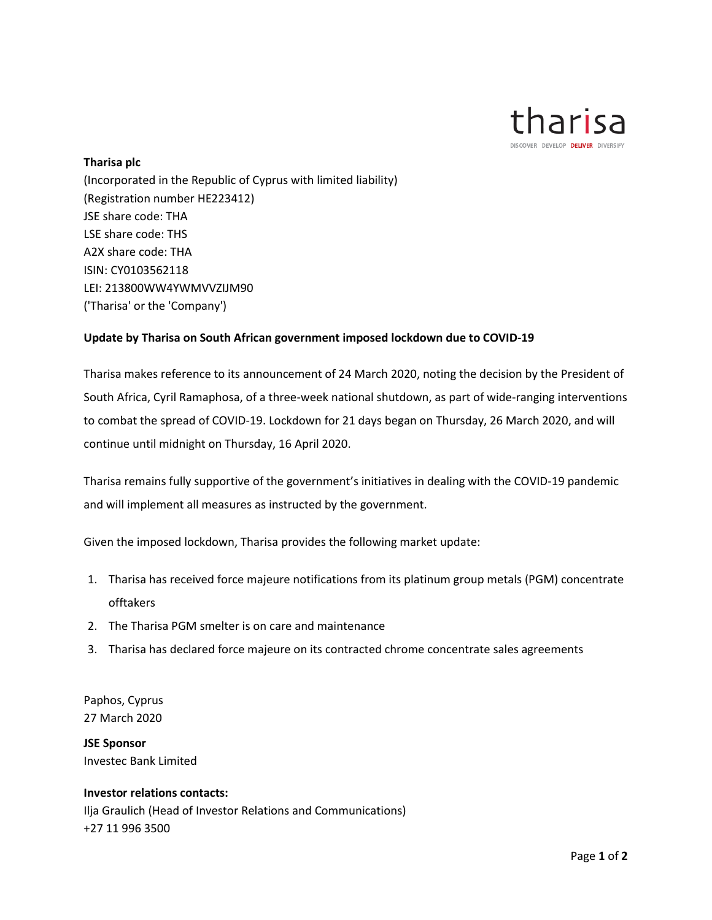

## **Tharisa plc**

(Incorporated in the Republic of Cyprus with limited liability) (Registration number HE223412) JSE share code: THA LSE share code: THS A2X share code: THA ISIN: CY0103562118 LEI: 213800WW4YWMVVZIJM90 ('Tharisa' or the 'Company')

## **Update by Tharisa on South African government imposed lockdown due to COVID-19**

Tharisa makes reference to its announcement of 24 March 2020, noting the decision by the President of South Africa, Cyril Ramaphosa, of a three-week national shutdown, as part of wide-ranging interventions to combat the spread of COVID-19. Lockdown for 21 days began on Thursday, 26 March 2020, and will continue until midnight on Thursday, 16 April 2020.

Tharisa remains fully supportive of the government's initiatives in dealing with the COVID-19 pandemic and will implement all measures as instructed by the government.

Given the imposed lockdown, Tharisa provides the following market update:

- 1. Tharisa has received force majeure notifications from its platinum group metals (PGM) concentrate offtakers
- 2. The Tharisa PGM smelter is on care and maintenance
- 3. Tharisa has declared force majeure on its contracted chrome concentrate sales agreements

Paphos, Cyprus 27 March 2020

**JSE Sponsor** Investec Bank Limited

## **Investor relations contacts:**

Ilja Graulich (Head of Investor Relations and Communications) +27 11 996 3500